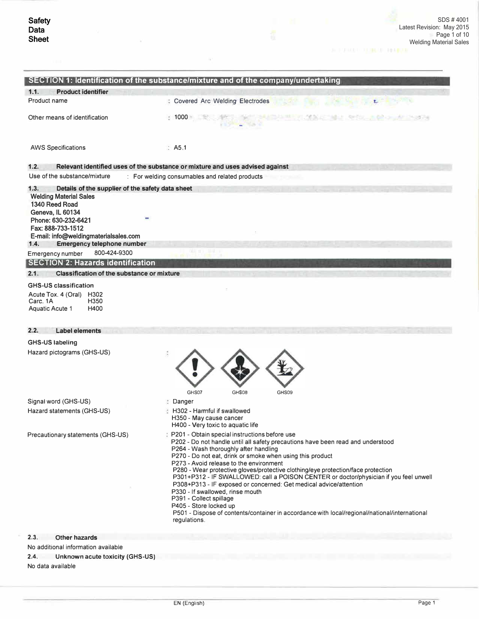$\alpha$ 

| <b>Product identifier</b><br>1.1.                                                                                                                                                                                                                                 |                                                                                                                                                                                                                                                                                                                                                                                                                                                                                                                                                                                                                                                                                                                                                 |
|-------------------------------------------------------------------------------------------------------------------------------------------------------------------------------------------------------------------------------------------------------------------|-------------------------------------------------------------------------------------------------------------------------------------------------------------------------------------------------------------------------------------------------------------------------------------------------------------------------------------------------------------------------------------------------------------------------------------------------------------------------------------------------------------------------------------------------------------------------------------------------------------------------------------------------------------------------------------------------------------------------------------------------|
| Product name                                                                                                                                                                                                                                                      | <b>: Covered Arc Welding Electrodes</b>                                                                                                                                                                                                                                                                                                                                                                                                                                                                                                                                                                                                                                                                                                         |
| Other means of identification                                                                                                                                                                                                                                     | (2) 무서 - 아이, 아이 그 - 이거 이제<br>1000                                                                                                                                                                                                                                                                                                                                                                                                                                                                                                                                                                                                                                                                                                               |
| <b>AWS Specifications</b>                                                                                                                                                                                                                                         | $\therefore$ A5.1                                                                                                                                                                                                                                                                                                                                                                                                                                                                                                                                                                                                                                                                                                                               |
| 1.2.                                                                                                                                                                                                                                                              | Relevant identified uses of the substance or mixture and uses advised against                                                                                                                                                                                                                                                                                                                                                                                                                                                                                                                                                                                                                                                                   |
| Use of the substance/mixture                                                                                                                                                                                                                                      | : For welding consumables and related products                                                                                                                                                                                                                                                                                                                                                                                                                                                                                                                                                                                                                                                                                                  |
| 1.3.<br>Details of the supplier of the safety data sheet<br><b>Welding Material Sales</b><br>1340 Reed Road<br>Geneva, IL 60134<br>Phone: 630-232-6421<br>Fax: 888-733-1512<br>E-mail: info@weldingmaterialsales.com<br><b>Emergency telephone number</b><br>1.4. |                                                                                                                                                                                                                                                                                                                                                                                                                                                                                                                                                                                                                                                                                                                                                 |
| 800-424-9300<br>Emergency number                                                                                                                                                                                                                                  |                                                                                                                                                                                                                                                                                                                                                                                                                                                                                                                                                                                                                                                                                                                                                 |
| <b>SECTION 2: Hazards identification</b>                                                                                                                                                                                                                          |                                                                                                                                                                                                                                                                                                                                                                                                                                                                                                                                                                                                                                                                                                                                                 |
| 2.1.<br><b>Classification of the substance or mixture</b>                                                                                                                                                                                                         |                                                                                                                                                                                                                                                                                                                                                                                                                                                                                                                                                                                                                                                                                                                                                 |
| <b>GHS-US classification</b><br>Acute Tox. 4 (Oral) H302<br>Carc. 1A<br>H350<br>H400<br>Aquatic Acute 1                                                                                                                                                           |                                                                                                                                                                                                                                                                                                                                                                                                                                                                                                                                                                                                                                                                                                                                                 |
| 2.2.<br><b>Label elements</b>                                                                                                                                                                                                                                     |                                                                                                                                                                                                                                                                                                                                                                                                                                                                                                                                                                                                                                                                                                                                                 |
| <b>GHS-US labeling</b>                                                                                                                                                                                                                                            |                                                                                                                                                                                                                                                                                                                                                                                                                                                                                                                                                                                                                                                                                                                                                 |
| Hazard pictograms (GHS-US)                                                                                                                                                                                                                                        | GHS07<br>GHS08<br>GHS09                                                                                                                                                                                                                                                                                                                                                                                                                                                                                                                                                                                                                                                                                                                         |
| Signal word (GHS-US)                                                                                                                                                                                                                                              | Danger                                                                                                                                                                                                                                                                                                                                                                                                                                                                                                                                                                                                                                                                                                                                          |
| Hazard statements (GHS-US)                                                                                                                                                                                                                                        | H302 - Harmful if swallowed<br>H350 - May cause cancer<br>H400 - Very toxic to aquatic life                                                                                                                                                                                                                                                                                                                                                                                                                                                                                                                                                                                                                                                     |
| Precautionary statements (GHS-US)                                                                                                                                                                                                                                 | : P201 - Obtain special instructions before use<br>P202 - Do not handle until all safety precautions have been read and understood<br>P264 - Wash thoroughly after handling<br>P270 - Do not eat, drink or smoke when using this product<br>P273 - Avoid release to the environment<br>P280 - Wear protective gloves/protective clothing/eye protection/face protection<br>P301+P312 - IF SWALLOWED: call a POISON CENTER or doctor/physician if you feel unwell<br>P308+P313 - IF exposed or concerned: Get medical advice/attention<br>P330 - If swallowed, rinse mouth<br>P391 - Collect spillage<br>P405 - Store locked up<br>P501 - Dispose of contents/container in accordance with local/regional/national/international<br>regulations. |
| 2.3.<br><b>Other hazards</b>                                                                                                                                                                                                                                      |                                                                                                                                                                                                                                                                                                                                                                                                                                                                                                                                                                                                                                                                                                                                                 |
|                                                                                                                                                                                                                                                                   |                                                                                                                                                                                                                                                                                                                                                                                                                                                                                                                                                                                                                                                                                                                                                 |
| No additional information available                                                                                                                                                                                                                               |                                                                                                                                                                                                                                                                                                                                                                                                                                                                                                                                                                                                                                                                                                                                                 |

No data available

 $\mathcal{L}$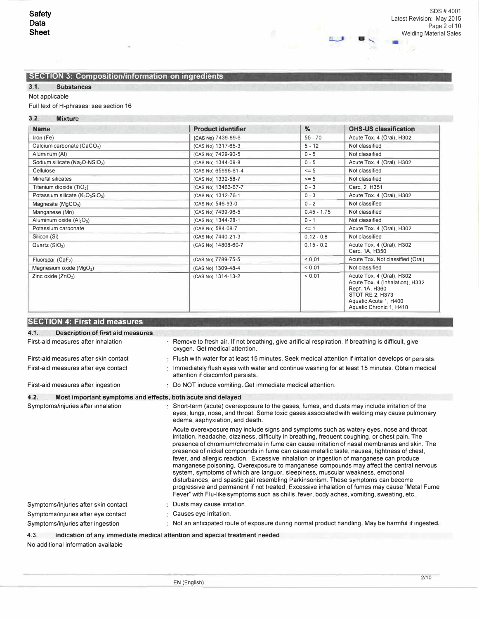Ġ,

41

# **SECTION 3: Composition/information on ingredients**

# 3.1. Substances

# Not applicable

# Full text of H-phrases: see section 16

# 3.2. Mixture

| <b>The Contract of the Contract Ave</b><br><b>Name</b>               | <b>Product identifier</b> | $\%$          | <b>GHS-US classification</b>                                                                                                                                 |
|----------------------------------------------------------------------|---------------------------|---------------|--------------------------------------------------------------------------------------------------------------------------------------------------------------|
| Iron (Fe)                                                            | (CAS No) 7439-89-6        | $55 - 70$     | Acute Tox. 4 (Oral), H302                                                                                                                                    |
| Calcium carbonate (CaCO <sub>3</sub> )                               | (CAS No) 1317-65-3        | $5 - 12$      | Not classified                                                                                                                                               |
| Aluminum (AI)                                                        | (CAS No) 7429-90-5        | $0 - 5$       | Not classified                                                                                                                                               |
| Sodium silicate ( $Na2O-NSIO2$ )                                     | (CAS No) 1344-09-8        | $0 - 5$       | Acute Tox. 4 (Oral), H302                                                                                                                                    |
| Cellulose                                                            | (CAS No) 65996-61-4       | $\leq$ 5      | Not classified                                                                                                                                               |
| Mineral silicates                                                    | (CAS No) 1332-58-7        | $\leq$ 5      | Not classified                                                                                                                                               |
| Titanium dioxide $(TiO2)$                                            | (CAS No) 13463-67-7       | $0 - 3$       | Carc 2, H351                                                                                                                                                 |
| Potassium silicate (K <sub>2</sub> O <sub>3</sub> SiO <sub>3</sub> ) | (CAS No) 1312-76-1        | $0 - 3$       | Acute Tox. 4 (Oral), H302                                                                                                                                    |
| Magnesite ( $MqCO3$ )                                                | (CAS No) 546-93-0         | $0 - 2$       | Not classified                                                                                                                                               |
| Manganese (Mn)                                                       | (CAS No) 7439-96-5        | $0.45 - 1.75$ | Not classified                                                                                                                                               |
| Aluminum oxide (Al <sub>2</sub> O <sub>3</sub> )                     | (CAS No) 1344-28-1        | $0 - 1$       | Not classified                                                                                                                                               |
| Potassium carbonate                                                  | (CAS No) 584-08-7         | $\leq$ 1      | Acute Tox. 4 (Oral), H302                                                                                                                                    |
| Silicon (Si)                                                         | (CAS No) 7440-21-3        | $0.12 - 0.8$  | Not classified                                                                                                                                               |
| Quartz $(SIO2)$                                                      | (CAS No) 14808-60-7       | $0.15 - 0.2$  | Acute Tox. 4 (Oral), H302<br>Carc. 1A, H350                                                                                                                  |
| Fluorspar $(CaF2)$                                                   | (CAS No) 7789-75-5        | < 0.01        | Acute Tox. Not classified (Oral)                                                                                                                             |
| Magnesium oxide (MgO2)                                               | (CAS No) 1309-48-4        | < 0.01        | Not classified                                                                                                                                               |
| Zinc oxide $(ZnO2)$                                                  | (CAS No) 1314-13-2        | < 0.01        | Acute Tox. 4 (Oral), H302<br>Acute Tox. 4 (Inhalation), H332<br>Repr. 1A, H360<br><b>STOT RE 2, H373</b><br>Aquatic Acute 1, H400<br>Aquatic Chronic 1, H410 |

# **SECTION 4: First aid measures**

| 4.1.<br>Description of first aid measures                           |                                                                                                                                                                                                                                                                                                                                                                                                                                                                                                                                                                                                                                                                                                                                                                                                                                                                                                                                                     |
|---------------------------------------------------------------------|-----------------------------------------------------------------------------------------------------------------------------------------------------------------------------------------------------------------------------------------------------------------------------------------------------------------------------------------------------------------------------------------------------------------------------------------------------------------------------------------------------------------------------------------------------------------------------------------------------------------------------------------------------------------------------------------------------------------------------------------------------------------------------------------------------------------------------------------------------------------------------------------------------------------------------------------------------|
| First-aid measures after inhalation                                 | Remove to fresh air. If not breathing, give artificial respiration. If breathing is difficult, give<br>oxygen. Get medical attention.                                                                                                                                                                                                                                                                                                                                                                                                                                                                                                                                                                                                                                                                                                                                                                                                               |
| First-aid measures after skin contact                               | Flush with water for at least 15 minutes. Seek medical attention if irritation develops or persists.                                                                                                                                                                                                                                                                                                                                                                                                                                                                                                                                                                                                                                                                                                                                                                                                                                                |
| First-aid measures after eye contact                                | Immediately flush eyes with water and continue washing for at least 15 minutes. Obtain medical<br>attention if discomfort persists.                                                                                                                                                                                                                                                                                                                                                                                                                                                                                                                                                                                                                                                                                                                                                                                                                 |
| First-aid measures after ingestion                                  | Do NOT induce vomiting. Get immediate medical attention.                                                                                                                                                                                                                                                                                                                                                                                                                                                                                                                                                                                                                                                                                                                                                                                                                                                                                            |
| 4.2.<br>Most important symptoms and effects, both acute and delayed |                                                                                                                                                                                                                                                                                                                                                                                                                                                                                                                                                                                                                                                                                                                                                                                                                                                                                                                                                     |
| Symptoms/injuries after inhalation                                  | Short-term (acute) overexposure to the gases, fumes, and dusts may include irritation of the<br>eyes, lungs, nose, and throat. Some toxic gases associated with welding may cause pulmonary<br>edema, asphyxiation, and death.                                                                                                                                                                                                                                                                                                                                                                                                                                                                                                                                                                                                                                                                                                                      |
|                                                                     | Acute overexposure may include signs and symptoms such as watery eyes, nose and throat<br>irritation, headache, dizziness, difficulty in breathing, frequent coughing, or chest pain. The<br>presence of chromium/chromate in fume can cause irritation of nasal membranes and skin. The<br>presence of nickel compounds in fume can cause metallic taste, nausea, tightness of chest,<br>fever, and allergic reaction. Excessive inhalation or ingestion of manganese can produce<br>manganese poisoning. Overexposure to manganese compounds may affect the central nervous<br>system, symptoms of which are languor, sleepiness, muscular weakness, emotional<br>disturbances, and spastic gait resembling Parkinsonism. These symptoms can become<br>progressive and permanent if not treated. Excessive inhalation of fumes may cause "Metal Fume<br>Fever" with Flu-like symptoms such as chills, fever, body aches, vomiting, sweating, etc. |
| Symptoms/injuries after skin contact                                | Dusts may cause irritation.                                                                                                                                                                                                                                                                                                                                                                                                                                                                                                                                                                                                                                                                                                                                                                                                                                                                                                                         |
| Symptoms/injuries after eye contact                                 | Causes eye irritation.                                                                                                                                                                                                                                                                                                                                                                                                                                                                                                                                                                                                                                                                                                                                                                                                                                                                                                                              |
| Symptoms/injuries after ingestion                                   | Not an anticipated route of exposure during normal product handling. May be harmful if ingested.                                                                                                                                                                                                                                                                                                                                                                                                                                                                                                                                                                                                                                                                                                                                                                                                                                                    |
| 4.3.                                                                | Indication of any immediate medical attention and special treatment needed                                                                                                                                                                                                                                                                                                                                                                                                                                                                                                                                                                                                                                                                                                                                                                                                                                                                          |
| No additional information available                                 |                                                                                                                                                                                                                                                                                                                                                                                                                                                                                                                                                                                                                                                                                                                                                                                                                                                                                                                                                     |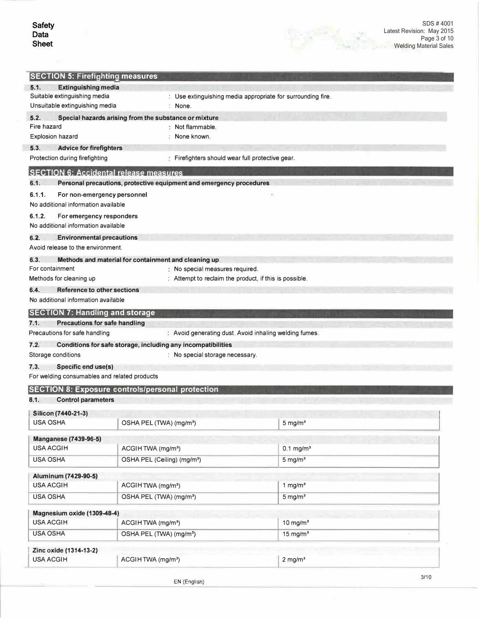| <b>SECTION 5: Firefighting measures</b>                                         |                                                                                                 |                                                        |  |
|---------------------------------------------------------------------------------|-------------------------------------------------------------------------------------------------|--------------------------------------------------------|--|
| <b>Extinguishing media</b><br>5.1.                                              |                                                                                                 |                                                        |  |
| Suitable extinguishing media                                                    | : Use extinguishing media appropriate for surrounding fire.                                     |                                                        |  |
| Unsuitable extinguishing media                                                  | : None.                                                                                         |                                                        |  |
| 5.2.                                                                            | Special hazards arising from the substance or mixture                                           |                                                        |  |
| Fire hazard                                                                     | Not flammable.<br>None known.                                                                   |                                                        |  |
| <b>Explosion hazard</b>                                                         |                                                                                                 |                                                        |  |
| 5.3.<br><b>Advice for firefighters</b>                                          |                                                                                                 |                                                        |  |
| Protection during firefighting<br><b>SECTION 6: Accidental release measures</b> | Firefighters should wear full protective gear.                                                  |                                                        |  |
| 6.1.                                                                            | Personal precautions, protective equipment and emergency procedures                             |                                                        |  |
| 6.1.1.                                                                          |                                                                                                 |                                                        |  |
| For non-emergency personnel<br>No additional information available              |                                                                                                 |                                                        |  |
| 6.1.2.                                                                          |                                                                                                 |                                                        |  |
| For emergency responders<br>No additional information available                 |                                                                                                 |                                                        |  |
| 6.2.                                                                            |                                                                                                 |                                                        |  |
| <b>Environmental precautions</b><br>Avoid release to the environment.           |                                                                                                 |                                                        |  |
| 6.3.                                                                            |                                                                                                 |                                                        |  |
| For containment                                                                 | Methods and material for containment and cleaning up<br>No special measures required.           |                                                        |  |
| Methods for cleaning up                                                         | Attempt to reclaim the product, if this is possible.                                            |                                                        |  |
| 6.4.<br><b>Reference to other sections</b>                                      |                                                                                                 |                                                        |  |
| No additional information available                                             |                                                                                                 |                                                        |  |
| <b>SECTION 7: Handling and storage</b>                                          |                                                                                                 |                                                        |  |
| 7.1.<br><b>Precautions for safe handling</b>                                    |                                                                                                 |                                                        |  |
| Precautions for safe handling                                                   |                                                                                                 | : Avoid generating dust. Avoid inhaling welding fumes. |  |
| 7.2.                                                                            |                                                                                                 |                                                        |  |
| Storage conditions                                                              | Conditions for safe storage, including any incompatibilities<br>: No special storage necessary. |                                                        |  |
|                                                                                 |                                                                                                 |                                                        |  |
| 7.3.<br>Specific end use(s)                                                     |                                                                                                 |                                                        |  |
| For welding consumables and related products                                    |                                                                                                 |                                                        |  |
|                                                                                 | <b>SECTION 8: Exposure controls/personal protection</b>                                         |                                                        |  |
| 8.1.<br><b>Control parameters</b>                                               |                                                                                                 |                                                        |  |
| Silicon (7440-21-3)                                                             |                                                                                                 |                                                        |  |
| <b>USA OSHA</b>                                                                 | OSHA PEL (TWA) (mg/m <sup>3</sup> )                                                             | $5 \text{ mg/m}^3$                                     |  |
| <b>Manganese (7439-96-5)</b>                                                    |                                                                                                 |                                                        |  |
| <b>USA ACGIH</b>                                                                | ACGIHTWA (mg/m <sup>3</sup> )                                                                   | $0.1$ mg/m <sup>3</sup>                                |  |
| <b>USA OSHA</b>                                                                 | OSHA PEL (Ceiling) (mg/m <sup>3</sup> )                                                         | $5 \text{ mg/m}^3$                                     |  |
|                                                                                 |                                                                                                 |                                                        |  |
| Aluminum (7429-90-5)                                                            |                                                                                                 |                                                        |  |
| <b>USA ACGIH</b>                                                                | ACGIHTWA (mg/m <sup>3</sup> )                                                                   | 1 mg/ $m3$                                             |  |
| <b>USA OSHA</b>                                                                 | OSHA PEL (TWA) (mg/m <sup>3</sup> )                                                             | $5 \text{ mg/m}^3$                                     |  |
| Magnesium oxide (1309-48-4)                                                     |                                                                                                 |                                                        |  |
| <b>USA ACGIH</b>                                                                | ACGIHTWA (mg/m <sup>3</sup> )                                                                   | $10$ mg/m <sup>3</sup>                                 |  |
| <b>USA OSHA</b>                                                                 | OSHA PEL (TWA) (mg/m <sup>3</sup> )                                                             | $15 \text{ mg/m}^3$                                    |  |
|                                                                                 |                                                                                                 |                                                        |  |
|                                                                                 |                                                                                                 |                                                        |  |
| Zinc oxide (1314-13-2)<br><b>USA ACGIH</b>                                      | ACGIHTWA (mg/m <sup>3</sup> )                                                                   | $2$ mg/m <sup>3</sup>                                  |  |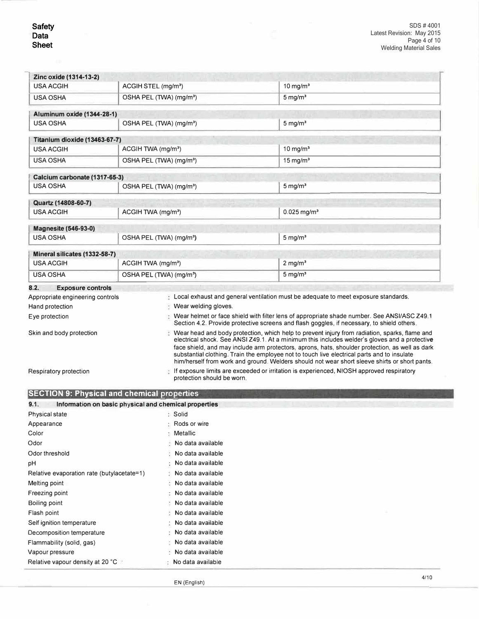-

| Zinc oxide (1314-13-2)                                                                                 |                                                                |                            |                                                                                                                                                                                                                                                                                                   |
|--------------------------------------------------------------------------------------------------------|----------------------------------------------------------------|----------------------------|---------------------------------------------------------------------------------------------------------------------------------------------------------------------------------------------------------------------------------------------------------------------------------------------------|
| <b>USA ACGIH</b>                                                                                       | ACGIH STEL (mg/m <sup>3</sup> )                                |                            | 10 mg/ $m3$                                                                                                                                                                                                                                                                                       |
| <b>USA OSHA</b>                                                                                        | OSHA PEL (TWA) (mg/m <sup>3</sup> )                            |                            | $5 \,\mathrm{mg/m^3}$                                                                                                                                                                                                                                                                             |
| Aluminum oxide (1344-28-1)                                                                             |                                                                |                            |                                                                                                                                                                                                                                                                                                   |
| <b>USA OSHA</b>                                                                                        | OSHA PEL (TWA) (mg/m <sup>3</sup> )                            |                            | $5 \text{ mg/m}^3$                                                                                                                                                                                                                                                                                |
| Titanium dioxide (13463-67-7)                                                                          |                                                                |                            |                                                                                                                                                                                                                                                                                                   |
| <b>USA ACGIH</b>                                                                                       | ACGIH TWA (mg/m <sup>3</sup> )                                 |                            | $10$ mg/m <sup>3</sup>                                                                                                                                                                                                                                                                            |
| <b>USA OSHA</b>                                                                                        | OSHA PEL (TWA) (mg/m <sup>3</sup> )                            |                            | $15 \text{ mg/m}^3$                                                                                                                                                                                                                                                                               |
| Calcium carbonate (1317-65-3)                                                                          |                                                                |                            |                                                                                                                                                                                                                                                                                                   |
| <b>USA OSHA</b>                                                                                        | OSHA PEL (TWA) (mg/m <sup>3</sup> )                            |                            | $5 \text{ mg/m}^3$                                                                                                                                                                                                                                                                                |
| Quartz (14808-60-7)                                                                                    |                                                                |                            |                                                                                                                                                                                                                                                                                                   |
| <b>USA ACGIH</b>                                                                                       | ACGIH TWA (mg/m <sup>3</sup> )                                 |                            | $0.025$ mg/m <sup>3</sup>                                                                                                                                                                                                                                                                         |
| <b>Magnesite (546-93-0)</b>                                                                            |                                                                |                            |                                                                                                                                                                                                                                                                                                   |
| <b>USA OSHA</b>                                                                                        | OSHA PEL (TWA) (mg/m <sup>3</sup> )                            |                            | $5 \text{ mg/m}^3$                                                                                                                                                                                                                                                                                |
| Mineral silicates (1332-58-7)                                                                          |                                                                |                            |                                                                                                                                                                                                                                                                                                   |
| <b>USA ACGIH</b>                                                                                       | ACGIH TWA (mg/m <sup>3</sup> )                                 |                            | $2$ mg/m <sup>3</sup>                                                                                                                                                                                                                                                                             |
| <b>USA OSHA</b>                                                                                        | OSHA PEL (TWA) (mg/m <sup>3</sup> )                            |                            | $5 \text{ mg/m}^3$                                                                                                                                                                                                                                                                                |
| 8.2.<br><b>Exposure controls</b>                                                                       |                                                                |                            |                                                                                                                                                                                                                                                                                                   |
| Appropriate engineering controls                                                                       |                                                                |                            | Local exhaust and general ventilation must be adequate to meet exposure standards.                                                                                                                                                                                                                |
| Hand protection                                                                                        |                                                                | Wear welding gloves.       |                                                                                                                                                                                                                                                                                                   |
| Eye protection                                                                                         |                                                                |                            | Wear helmet or face shield with filter lens of appropriate shade number. See ANSI/ASC Z49.1                                                                                                                                                                                                       |
|                                                                                                        |                                                                |                            | Section 4.2. Provide protective screens and flash goggles, if necessary, to shield others,                                                                                                                                                                                                        |
| Skin and body protection                                                                               |                                                                |                            | Wear head and body protection, which help to prevent injury from radiation, sparks, flame and<br>electrical shock. See ANSI Z49.1. At a minimum this includes welder's gloves and a protective<br>face shield, and may include arm protectors, aprons, hats, shoulder protection, as well as dark |
|                                                                                                        |                                                                |                            | substantial clothing. Train the employee not to touch live electrical parts and to insulate<br>him/herself from work and ground. Welders should not wear short sleeve shirts or short pants.                                                                                                      |
|                                                                                                        |                                                                | protection should be worn. | If exposure limits are exceeded or irritation is experienced, NIOSH approved respiratory                                                                                                                                                                                                          |
|                                                                                                        |                                                                |                            |                                                                                                                                                                                                                                                                                                   |
|                                                                                                        |                                                                |                            |                                                                                                                                                                                                                                                                                                   |
| Respiratory protection<br><b>SECTION 9: Physical and chemical properties</b><br>9.1.<br>Physical state | Information on basic physical and chemical properties<br>Solid |                            |                                                                                                                                                                                                                                                                                                   |
|                                                                                                        |                                                                | Rods or wire               |                                                                                                                                                                                                                                                                                                   |
|                                                                                                        |                                                                | Metallic                   |                                                                                                                                                                                                                                                                                                   |
| Appearance<br>Color<br>Odor                                                                            |                                                                | No data available          |                                                                                                                                                                                                                                                                                                   |
| Odor threshold                                                                                         |                                                                | No data available          |                                                                                                                                                                                                                                                                                                   |
|                                                                                                        |                                                                | No data available          |                                                                                                                                                                                                                                                                                                   |
|                                                                                                        |                                                                | No data available          |                                                                                                                                                                                                                                                                                                   |
|                                                                                                        |                                                                | No data available          |                                                                                                                                                                                                                                                                                                   |
|                                                                                                        |                                                                | No data available          |                                                                                                                                                                                                                                                                                                   |
| рH<br>Relative evaporation rate (butylacetate=1)<br>Melting point<br>Freezing point<br>Boiling point   |                                                                | No data available          |                                                                                                                                                                                                                                                                                                   |
|                                                                                                        |                                                                | No data available          |                                                                                                                                                                                                                                                                                                   |
| Flash point                                                                                            |                                                                | No data available          |                                                                                                                                                                                                                                                                                                   |
| Self ignition temperature                                                                              |                                                                | No data available          |                                                                                                                                                                                                                                                                                                   |
| Decomposition temperature                                                                              |                                                                | No data available          |                                                                                                                                                                                                                                                                                                   |
| Flammability (solid, gas)<br>Vapour pressure                                                           |                                                                | No data available          |                                                                                                                                                                                                                                                                                                   |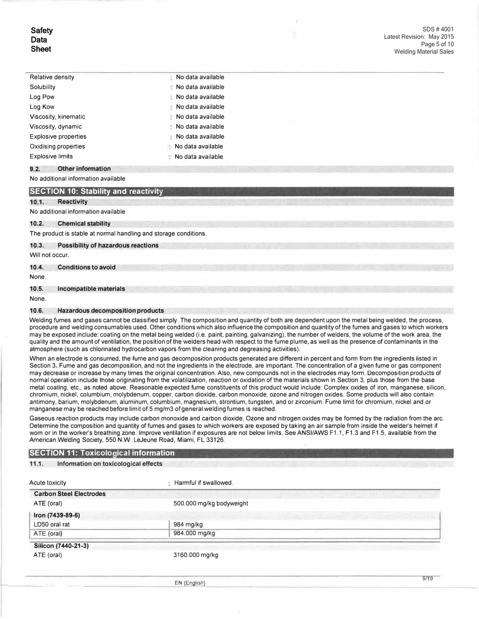| <b>Relative density</b>     | No data available      |
|-----------------------------|------------------------|
| Solubility                  | No data available      |
| Log Pow                     | No data available      |
| Log Kow                     | No data available<br>÷ |
| Viscosity, kinematic        | No data available      |
| Viscosity, dynamic          | No data available      |
| <b>Explosive properties</b> | No data available<br>÷ |
| Oxidising properties        | No data available      |
| <b>Explosive limits</b>     | No data available      |

## **9.2. Other information**

#### No additional information available

# **SECTION 10: Stability and reactivity**

#### 10.1. Reactivity

#### No additional information available

#### **10.2. Chemical stability**

The product is stable at normal handling and storage conditions.

#### **10.3. Possibility of hazardous reactions**

Will not occur.

## **10.4. Conditions to avoid**

None.

#### **10.5. Incompatible materials**

None.

I r

#### **10.6. Hazardous decomposition products**

Welding fumes and gases cannot be classified simply. The composition and quantity of both are dependent upon the metal being welded, the process, procedure and welding consumables used. Other conditions which also influence the composition and quantity of the fumes and gases to which workers may be exposed include: coating on the metal being welded (i.e. paint, painting, galvanizing), the number of welders, the volume of the work area, the quality and the amount of ventilation, the position of the welders head with respect to the fume plume, as well as the presence of contaminants in the atmosphere (such as chlorinated hydrocarbon vapors from the cleaning and degreasing activities).

When an electrode is consumed, the fume and gas decomposition products generated are different in percent and form from the ingredients listed in Section 3. Fume and gas decomposition, and not the ingredients in the electrode, are important. The concentration of a given fume or gas component may decrease or increase by many times the original concentration. Also, new compounds not in the electrodes may form. Decomposition products of normal operation include those originating from the volatilization, reaction or oxidation of the materials shown in Section 3, plus those from the base metal coating, etc., as noted above. Reasonable expected fume constituents of this product would include: Complex oxides of iron, manganese, silicon, chromium, nickel, columbium, molybdenum, copper, carbon dioxide, carbon monoxide, ozone and nitrogen oxides. Some products will also contain antimony, barium, molybdenum, aluminum, columbium, magnesium, strontium, tungsten, and or zirconium. Fume limit for chromium, nickel and or manganese may be reached before limit of 5 mg/m3 of general welding fumes is reached.

Gaseous reaction products may include carbon monoxide and carbon dioxide. Ozone and nitrogen oxides may be formed by the radiation from the arc. Determine the composition and quantity of fumes and gases to which workers are exposed by taking an air sample from inside the welder's helmet if worn or in the worker's breathing zone. Improve ventilation if exposures are not below limits. See ANSI/AWS F1.1, F1.3 and F1.5, available from the American Welding Society, 550 N.W. LeJeune Road, Miami, FL 33126.

#### **SECTION 11: Toxicological information**

#### **11.1. Information on toxicological effects**

| Acute toxicity                 | Harmful if swallowed.    |
|--------------------------------|--------------------------|
| <b>Carbon Steel Electrodes</b> |                          |
| ATE (oral)                     | 500.000 mg/kg bodyweight |
| Iron (7439-89-6)               |                          |
| LD50 oral rat                  | 984 mg/kg                |
| ATE (oral)                     | 984.000 mg/kg            |
| Silicon (7440-21-3)            |                          |
| ATE (oral)                     | 3160.000 mg/kg           |

EN (English)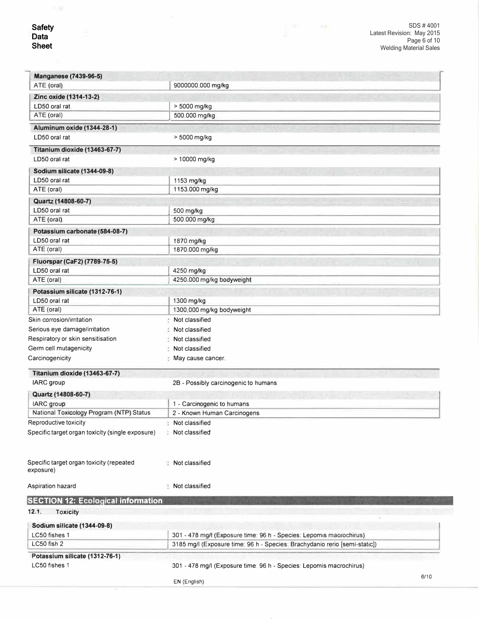i,

| <b>Manganese (7439-96-5)</b>                     |                                                                                                                                                   |
|--------------------------------------------------|---------------------------------------------------------------------------------------------------------------------------------------------------|
| ATE (oral)                                       | 9000000.000 mg/kg                                                                                                                                 |
|                                                  |                                                                                                                                                   |
| Zinc oxide (1314-13-2)<br>LD50 oral rat          |                                                                                                                                                   |
| ATE (oral)                                       | > 5000 mg/kg<br>500.000 mg/kg                                                                                                                     |
|                                                  |                                                                                                                                                   |
| Aluminum oxide (1344-28-1)                       |                                                                                                                                                   |
| LD50 oral rat                                    | > 5000 mg/kg                                                                                                                                      |
| Titanium dioxide (13463-67-7)                    |                                                                                                                                                   |
| LD50 oral rat                                    | > 10000 mg/kg                                                                                                                                     |
| Sodium silicate (1344-09-8)                      |                                                                                                                                                   |
| LD50 oral rat                                    | 1153 mg/kg                                                                                                                                        |
| ATE (oral)                                       | 1153.000 mg/kg                                                                                                                                    |
| Quartz (14808-60-7)                              |                                                                                                                                                   |
| LD50 oral rat                                    | 500 mg/kg                                                                                                                                         |
| ATE (oral)                                       | 500.000 mg/kg                                                                                                                                     |
|                                                  |                                                                                                                                                   |
| Potassium carbonate (584-08-7)<br>LD50 oral rat  |                                                                                                                                                   |
| ATE (oral)                                       | 1870 mg/kg<br>1870.000 mg/kg                                                                                                                      |
|                                                  |                                                                                                                                                   |
| Fluorspar (CaF2) (7789-75-5)                     |                                                                                                                                                   |
| LD50 oral rat                                    | 4250 mg/kg                                                                                                                                        |
| ATE (oral)                                       | 4250.000 mg/kg bodyweight                                                                                                                         |
| Potassium silicate (1312-76-1)                   |                                                                                                                                                   |
| LD50 oral rat                                    | 1300 mg/kg                                                                                                                                        |
| ATE (oral)                                       | 1300.000 mg/kg bodyweight                                                                                                                         |
| Skin corrosion/irritation                        | Not classified                                                                                                                                    |
| Serious eye damage/irritation                    | Not classified                                                                                                                                    |
| Respiratory or skin sensitisation                | Not classified                                                                                                                                    |
| Germ cell mutagenicity                           | Not classified                                                                                                                                    |
| Carcinogenicity                                  | May cause cancer.                                                                                                                                 |
| Titanium dioxide (13463-67-7)                    |                                                                                                                                                   |
| <b>IARC</b> group                                | 2B - Possibly carcinogenic to humans                                                                                                              |
|                                                  |                                                                                                                                                   |
| Quartz (14808-60-7)                              |                                                                                                                                                   |
| <b>IARC</b> group                                | 1 - Carcinogenic to humans                                                                                                                        |
| National Toxicology Program (NTP) Status         | 2 - Known Human Carcinogens                                                                                                                       |
| Reproductive toxicity                            | Not classified                                                                                                                                    |
| Specific target organ toxicity (single exposure) | : Not classified                                                                                                                                  |
|                                                  |                                                                                                                                                   |
|                                                  |                                                                                                                                                   |
| Specific target organ toxicity (repeated         | Not classified                                                                                                                                    |
| exposure)                                        |                                                                                                                                                   |
| Aspiration hazard                                | : Not classified                                                                                                                                  |
|                                                  |                                                                                                                                                   |
| <b>SECTION 12: Ecological information</b>        |                                                                                                                                                   |
| 12.1.<br><b>Toxicity</b>                         |                                                                                                                                                   |
| Sodium silicate (1344-09-8)                      |                                                                                                                                                   |
|                                                  |                                                                                                                                                   |
| LC50 fishes 1<br>LC50 fish 2                     | 301 - 478 mg/l (Exposure time: 96 h - Species: Lepomis macrochirus)<br>3185 mg/l (Exposure time: 96 h - Species: Brachydanio rerio [semi-static]) |
|                                                  |                                                                                                                                                   |
| Potassium silicate (1312-76-1)                   |                                                                                                                                                   |
| LC50 fishes 1                                    | 301 - 478 mg/l (Exposure time: 96 h - Species: Lepomis macrochirus)                                                                               |
|                                                  | 6/10<br>EN (English)                                                                                                                              |
|                                                  |                                                                                                                                                   |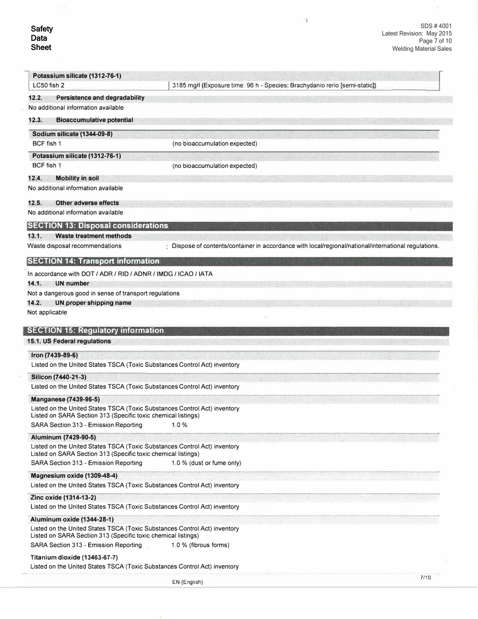$\mathbb{R}^n$ 

| Potassium silicate (1312-76-1)                                                                                                             |                                                                                                     |
|--------------------------------------------------------------------------------------------------------------------------------------------|-----------------------------------------------------------------------------------------------------|
| LC50 fish 2                                                                                                                                | 3185 mg/l (Exposure time: 96 h - Species: Brachydanio rerio [semi-static])                          |
| 12.2.<br><b>Persistence and degradability</b>                                                                                              |                                                                                                     |
| No additional information available                                                                                                        |                                                                                                     |
| 12.3.<br><b>Bioaccumulative potential</b>                                                                                                  |                                                                                                     |
| <b>Sodium silicate (1344-09-8)</b>                                                                                                         |                                                                                                     |
| BCF fish 1                                                                                                                                 | (no bioaccumulation expected)                                                                       |
| Potassium silicate (1312-76-1)                                                                                                             |                                                                                                     |
| BCF fish 1                                                                                                                                 | (no bioaccumulation expected)                                                                       |
| 12.4.<br><b>Mobility in soil</b>                                                                                                           |                                                                                                     |
| No additional information available                                                                                                        |                                                                                                     |
| 12.5.<br><b>Other adverse effects</b>                                                                                                      |                                                                                                     |
| No additional information available                                                                                                        |                                                                                                     |
| <b>SECTION 13: Disposal considerations</b>                                                                                                 |                                                                                                     |
| 13.1.<br><b>Waste treatment methods</b>                                                                                                    |                                                                                                     |
| Waste disposal recommendations                                                                                                             | Dispose of contents/container in accordance with local/regional/national/international regulations, |
| <b>SECTION 14: Transport information</b>                                                                                                   |                                                                                                     |
| In accordance with DOT / ADR / RID / ADNR / IMDG / ICAO / IATA                                                                             |                                                                                                     |
| 14.1.<br><b>UN number</b>                                                                                                                  |                                                                                                     |
| Not a dangerous good in sense of transport regulations                                                                                     |                                                                                                     |
| 14.2.<br>UN proper shipping name                                                                                                           |                                                                                                     |
| Not applicable                                                                                                                             |                                                                                                     |
| 15.1. US Federal regulations                                                                                                               |                                                                                                     |
| Iron (7439-89-6)<br>Listed on the United States TSCA (Toxic Substances Control Act) inventory                                              |                                                                                                     |
| Silicon (7440-21-3)                                                                                                                        |                                                                                                     |
| Listed on the United States TSCA (Toxic Substances Control Act) inventory                                                                  |                                                                                                     |
| <b>Manganese (7439-96-5)</b>                                                                                                               |                                                                                                     |
| Listed on the United States TSCA (Toxic Substances Control Act) inventory<br>Listed on SARA Section 313 (Specific toxic chemical listings) |                                                                                                     |
| SARA Section 313 - Emission Reporting                                                                                                      | 1.0%                                                                                                |
| Aluminum (7429-90-5)                                                                                                                       |                                                                                                     |
| Listed on the United States TSCA (Toxic Substances Control Act) inventory                                                                  |                                                                                                     |
| Listed on SARA Section 313 (Specific toxic chemical listings)                                                                              |                                                                                                     |
| SARA Section 313 - Emission Reporting                                                                                                      | 1.0 % (dust or fume only)                                                                           |
| Magnesium oxide (1309-48-4)                                                                                                                |                                                                                                     |
| Listed on the United States TSCA (Toxic Substances Control Act) inventory                                                                  |                                                                                                     |
| Zinc oxide (1314-13-2)                                                                                                                     |                                                                                                     |
| Listed on the United States TSCA (Toxic Substances Control Act) inventory                                                                  |                                                                                                     |
| <b>Aluminum oxide (1344-28-1)</b>                                                                                                          |                                                                                                     |
| Listed on the United States TSCA (Toxic Substances Control Act) inventory<br>Listed on SARA Section 313 (Specific toxic chemical listings) |                                                                                                     |
| SARA Section 313 - Emission Reporting                                                                                                      | 1.0 % (fibrous forms)                                                                               |
| Titanium dioxide (13463-67-7)                                                                                                              |                                                                                                     |
| Listed on the United States TSCA (Toxic Substances Control Act) inventory                                                                  |                                                                                                     |
|                                                                                                                                            | 7/10                                                                                                |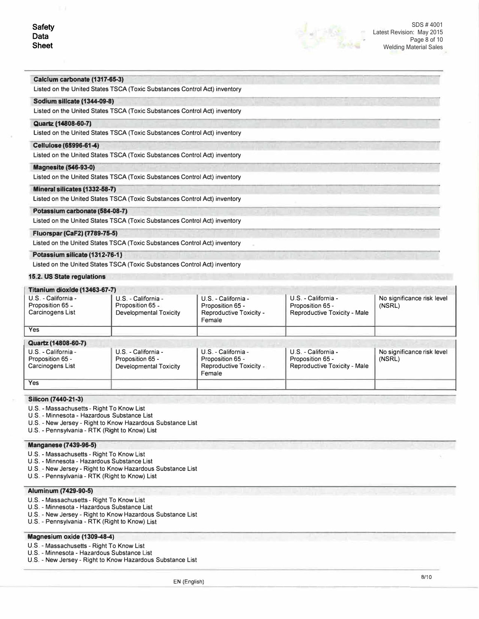

#### **Calclwm carbonate (1317-65-3)**

Listed on the United States TSCA (Toxic Substances Control Act) inventory

### **Sodium silicate (1344-09-8)**

Listed on the United States TSCA (Toxic Substances Control Act) inventory

#### **Quartz (14e08-60-7)**

Listed on the United States TSCA (Toxic Substances Control Act) inventory

#### Cellulose (65996-61-4)

Listed on the United States TSCA (Toxic Substances Control Act) inventory

### **Magnesite (546-93-0)**

Listed on the United States TSCA (Toxic Substances Control Act) inventory

## **Mineral silicates (1332-68-7)**

Listed on the United States TSCA (Toxic Substances Control Act) inventory

### **Potassfum carbonate (584-08-7)**

Listed on the United States TSCA (Toxic Substances Control Act) inventory

## **Fluorspar (CaF2) (7789-75-5)**

Listed on the United States TSCA (Toxic Substances Control Act) inventory

#### **Potassium silicate (1312-76-1:}**

Listed on the United States TSCA (Toxic Substances Control Act) inventory

### **15.2. US State regulations**

## **Titanium dioxide (13463-67-7)**

| 1100111911191001190119700001017                             |                                                                          |                                                                              |                                                                         |                                      |
|-------------------------------------------------------------|--------------------------------------------------------------------------|------------------------------------------------------------------------------|-------------------------------------------------------------------------|--------------------------------------|
| U.S. - California -<br>Proposition 65 -<br>Carcinogens List | U.S. - California -<br>Proposition 65 -<br><b>Developmental Toxicity</b> | U.S. - California -<br>Proposition 65 -<br>Reproductive Toxicity -<br>Female | U.S. - California -<br>Proposition 65 -<br>Reproductive Toxicity - Male | No significance risk level<br>(NSRL) |
| <b>Yes</b>                                                  |                                                                          |                                                                              |                                                                         |                                      |
| Quartz (14808-60-7)                                         |                                                                          |                                                                              |                                                                         |                                      |
| U.S. - California -<br>Proposition 65 -<br>Carcinogens List | U.S. - California -<br>Proposition 65 -<br><b>Developmental Toxicity</b> | U.S. - California -<br>Proposition 65 -<br>Reproductive Toxicity -<br>Female | U.S. - California -<br>Proposition 65 -<br>Reproductive Toxicity - Male | No significance risk level<br>(NSRL) |
| <b>Yes</b>                                                  |                                                                          |                                                                              |                                                                         |                                      |

#### **Silicon (7440-21-3)**

- U.S. Massachusetts Right To Know List
- U.S. Minnesota Hazardous Substance List
- U.S. New Jersey Right to Know Hazardous Substance List

U.S. - Pennsylvania - RTK (Right to Know) List

#### **Manganese (7439-96-5)**

- U.S. Massachusetts Right To Know List
- U.S. Minnesota Hazardous Substance List
- U.S. New Jersey Right to Know Hazardous Substance List
- U.S. Pennsylvania RTK (Right to Know) List

## **Aluminum (7429-90-5)**

- U.S. Massachusetts Right To Know List
- U.S. Minnesota Hazardous Substance List
- U.S. New Jersey Right to Know Hazardous Substance List
- U.S. Pennsylvania RTK (Right to Know) List

## **Magnesium oxide (1309-48-4)**

- U.S. Massachusetts Right To Know List
- U.S. Minnesota Hazardous Substance List
- U.S. New Jersey Right to Know Hazardous Substance List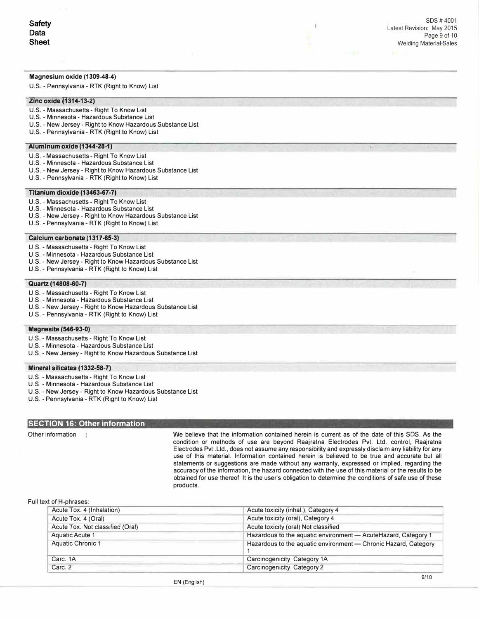## **Magnesium oxide (1309-48-4)**

U.S. - Pennsylvania - RTK (Right to Know) List

#### **Zinc oxide (1314-13-2)**

- U.S. Massachusetts Right To Know List
- U.S. Minnesota Hazardous Substance List
- U.S. New Jersey Right to Know Hazardous Substance List
- U.S. Pennsylvania RTK (Right to Know) List

### **Aiumlnum oxide (1344-28-1)**

- U.S. Massachusetts Right To Know List
- U.S. Minnesota Hazardous Substance List
- U.S. New Jersey Right to Know Hazardous Substance List
- U.S. Pennsylvania RTK (Right to Know) List

#### **Titanium dioxide (13463-67-7)**

- U.S. Massachusetts Right To Know List
- U.S. Minnesota Hazardous Substance List
- U.S. New Jersey Right to Know Hazardous Substance List
- U.S. Pennsylvania RTK (Right to Know) List

#### **Calcium carbonate (1317-65-3)**

- U.S. Massachusetts Right To Know List
- U.S. Minnesota Hazardous Substance List
- U.S. New Jersey Right to Know Hazardous Substance List
- U.S. Pennsylvania RTK (Right to Know) List

## **Quartz (14808-60-7)**

- U.S. Massachusetts Right To Know List
- U.S. Minnesota Hazardous Substance List
- U.S. New Jersey Right to Know Hazardous Substance List
- U.S. Pennsylvania RTK (Right to Know) List

## **Magnesite (546-93-0)**

- U.S. Massachusetts Right To Know List
- U.S. Minnesota Hazardous Substance List
- U.S. New Jersey Right to Know Hazardous Substance List

#### **Mineral silicates (1332-58-7)**

- U.S. Massachusetts Right To Know List
- U.S. Minnesota Hazardous Substance List
- U.S. New Jersey Right to Know Hazardous Substance List
- U.S. Pennsylvania RTK (Right to Know) List

# **SECTION 16: Other information**

Other information We believe that the information contained herein is current as of the date of this SOS. As the condition or methods of use are beyond Raajratna Electrodes Pvt. Ltd. control, Raajratna Electrodes Pvt .Ltd., does not assume any responsibility and expressly disclaim any liability for any use of this material. Information contained herein is believed to be true and accurate but all statements or suggestions are made without any warranty, expressed or implied, regarding the accuracy of the information, the hazard connected with the use of this material or the results to be obtained for use thereof. It is the user's obligation to determine the conditions of safe use of these products.

I.

#### Full text of H-phrases:

| Acute Tox. 4 (Inhalation)        | Acute toxicity (inhal.), Category 4                             |  |
|----------------------------------|-----------------------------------------------------------------|--|
| Acute Tox. 4 (Oral)              | Acute toxicity (oral), Category 4                               |  |
| Acute Tox. Not classified (Oral) | Acute toxicity (oral) Not classified                            |  |
| <b>Aquatic Acute 1</b>           | Hazardous to the aquatic environment - Acute Hazard, Category 1 |  |
| <b>Aquatic Chronic 1</b>         | Hazardous to the aquatic environment - Chronic Hazard, Category |  |
| Carc. 1A                         | Carcinogenicity, Category 1A                                    |  |
| Carc. 2                          | Carcinogenicity, Category 2                                     |  |